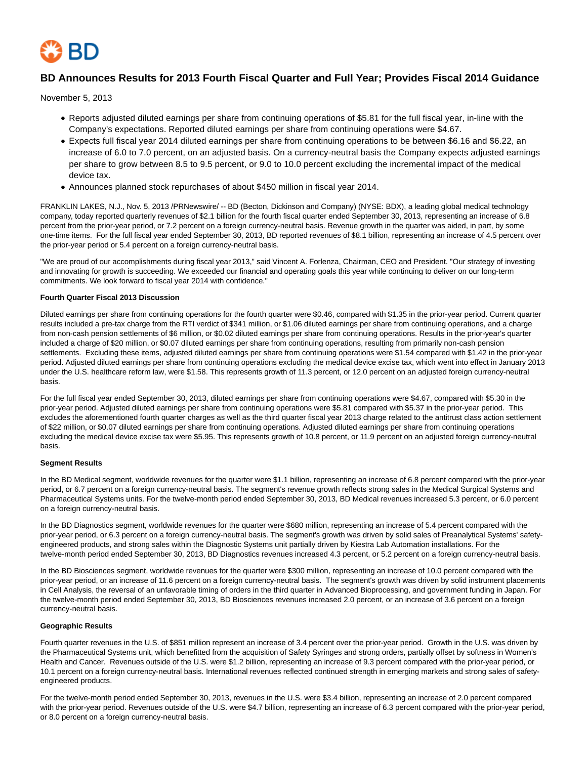

# **BD Announces Results for 2013 Fourth Fiscal Quarter and Full Year; Provides Fiscal 2014 Guidance**

November 5, 2013

- Reports adjusted diluted earnings per share from continuing operations of \$5.81 for the full fiscal year, in-line with the Company's expectations. Reported diluted earnings per share from continuing operations were \$4.67.
- Expects full fiscal year 2014 diluted earnings per share from continuing operations to be between \$6.16 and \$6.22, an increase of 6.0 to 7.0 percent, on an adjusted basis. On a currency-neutral basis the Company expects adjusted earnings per share to grow between 8.5 to 9.5 percent, or 9.0 to 10.0 percent excluding the incremental impact of the medical device tax.
- Announces planned stock repurchases of about \$450 million in fiscal year 2014.

FRANKLIN LAKES, N.J., Nov. 5, 2013 /PRNewswire/ -- BD (Becton, Dickinson and Company) (NYSE: BDX), a leading global medical technology company, today reported quarterly revenues of \$2.1 billion for the fourth fiscal quarter ended September 30, 2013, representing an increase of 6.8 percent from the prior-year period, or 7.2 percent on a foreign currency-neutral basis. Revenue growth in the quarter was aided, in part, by some one-time items. For the full fiscal year ended September 30, 2013, BD reported revenues of \$8.1 billion, representing an increase of 4.5 percent over the prior-year period or 5.4 percent on a foreign currency-neutral basis.

"We are proud of our accomplishments during fiscal year 2013," said Vincent A. Forlenza, Chairman, CEO and President. "Our strategy of investing and innovating for growth is succeeding. We exceeded our financial and operating goals this year while continuing to deliver on our long-term commitments. We look forward to fiscal year 2014 with confidence."

#### **Fourth Quarter Fiscal 2013 Discussion**

Diluted earnings per share from continuing operations for the fourth quarter were \$0.46, compared with \$1.35 in the prior-year period. Current quarter results included a pre-tax charge from the RTI verdict of \$341 million, or \$1.06 diluted earnings per share from continuing operations, and a charge from non-cash pension settlements of \$6 million, or \$0.02 diluted earnings per share from continuing operations. Results in the prior-year's quarter included a charge of \$20 million, or \$0.07 diluted earnings per share from continuing operations, resulting from primarily non-cash pension settlements. Excluding these items, adjusted diluted earnings per share from continuing operations were \$1.54 compared with \$1.42 in the prior-year period. Adjusted diluted earnings per share from continuing operations excluding the medical device excise tax, which went into effect in January 2013 under the U.S. healthcare reform law, were \$1.58. This represents growth of 11.3 percent, or 12.0 percent on an adjusted foreign currency-neutral basis.

For the full fiscal year ended September 30, 2013, diluted earnings per share from continuing operations were \$4.67, compared with \$5.30 in the prior-year period. Adjusted diluted earnings per share from continuing operations were \$5.81 compared with \$5.37 in the prior-year period. This excludes the aforementioned fourth quarter charges as well as the third quarter fiscal year 2013 charge related to the antitrust class action settlement of \$22 million, or \$0.07 diluted earnings per share from continuing operations. Adjusted diluted earnings per share from continuing operations excluding the medical device excise tax were \$5.95. This represents growth of 10.8 percent, or 11.9 percent on an adjusted foreign currency-neutral basis.

#### **Segment Results**

In the BD Medical segment, worldwide revenues for the quarter were \$1.1 billion, representing an increase of 6.8 percent compared with the prior-year period, or 6.7 percent on a foreign currency-neutral basis. The segment's revenue growth reflects strong sales in the Medical Surgical Systems and Pharmaceutical Systems units. For the twelve-month period ended September 30, 2013, BD Medical revenues increased 5.3 percent, or 6.0 percent on a foreign currency-neutral basis.

In the BD Diagnostics segment, worldwide revenues for the quarter were \$680 million, representing an increase of 5.4 percent compared with the prior-year period, or 6.3 percent on a foreign currency-neutral basis. The segment's growth was driven by solid sales of Preanalytical Systems' safetyengineered products, and strong sales within the Diagnostic Systems unit partially driven by Kiestra Lab Automation installations. For the twelve-month period ended September 30, 2013, BD Diagnostics revenues increased 4.3 percent, or 5.2 percent on a foreign currency-neutral basis.

In the BD Biosciences segment, worldwide revenues for the quarter were \$300 million, representing an increase of 10.0 percent compared with the prior-year period, or an increase of 11.6 percent on a foreign currency-neutral basis. The segment's growth was driven by solid instrument placements in Cell Analysis, the reversal of an unfavorable timing of orders in the third quarter in Advanced Bioprocessing, and government funding in Japan. For the twelve-month period ended September 30, 2013, BD Biosciences revenues increased 2.0 percent, or an increase of 3.6 percent on a foreign currency-neutral basis.

#### **Geographic Results**

Fourth quarter revenues in the U.S. of \$851 million represent an increase of 3.4 percent over the prior-year period. Growth in the U.S. was driven by the Pharmaceutical Systems unit, which benefitted from the acquisition of Safety Syringes and strong orders, partially offset by softness in Women's Health and Cancer. Revenues outside of the U.S. were \$1.2 billion, representing an increase of 9.3 percent compared with the prior-year period, or 10.1 percent on a foreign currency-neutral basis. International revenues reflected continued strength in emerging markets and strong sales of safetyengineered products.

For the twelve-month period ended September 30, 2013, revenues in the U.S. were \$3.4 billion, representing an increase of 2.0 percent compared with the prior-year period. Revenues outside of the U.S. were \$4.7 billion, representing an increase of 6.3 percent compared with the prior-year period, or 8.0 percent on a foreign currency-neutral basis.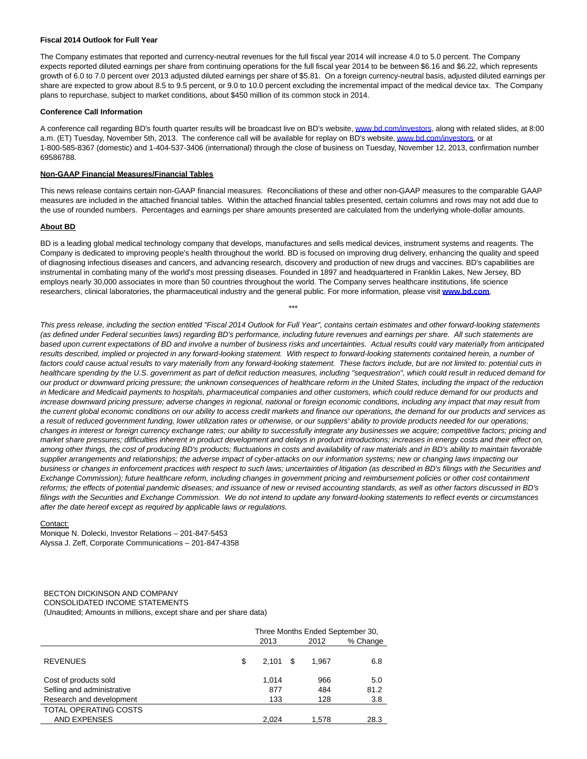#### **Fiscal 2014 Outlook for Full Year**

The Company estimates that reported and currency-neutral revenues for the full fiscal year 2014 will increase 4.0 to 5.0 percent. The Company expects reported diluted earnings per share from continuing operations for the full fiscal year 2014 to be between \$6.16 and \$6.22, which represents growth of 6.0 to 7.0 percent over 2013 adjusted diluted earnings per share of \$5.81. On a foreign currency-neutral basis, adjusted diluted earnings per share are expected to grow about 8.5 to 9.5 percent, or 9.0 to 10.0 percent excluding the incremental impact of the medical device tax. The Company plans to repurchase, subject to market conditions, about \$450 million of its common stock in 2014.

#### **Conference Call Information**

A conference call regarding BD's fourth quarter results will be broadcast live on BD's website, [www.bd.com/investors,](http://www.bd.com/investors) along with related slides, at 8:00 a.m. (ET) Tuesday, November 5th, 2013. The conference call will be available for replay on BD's website[, www.bd.com/investors,](http://www.bd.com/investors) or at 1-800-585-8367 (domestic) and 1-404-537-3406 (international) through the close of business on Tuesday, November 12, 2013, confirmation number 69586788.

#### **Non-GAAP Financial Measures/Financial Tables**

This news release contains certain non-GAAP financial measures. Reconciliations of these and other non-GAAP measures to the comparable GAAP measures are included in the attached financial tables. Within the attached financial tables presented, certain columns and rows may not add due to the use of rounded numbers. Percentages and earnings per share amounts presented are calculated from the underlying whole-dollar amounts.

#### **About BD**

BD is a leading global medical technology company that develops, manufactures and sells medical devices, instrument systems and reagents. The Company is dedicated to improving people's health throughout the world. BD is focused on improving drug delivery, enhancing the quality and speed of diagnosing infectious diseases and cancers, and advancing research, discovery and production of new drugs and vaccines. BD's capabilities are instrumental in combating many of the world's most pressing diseases. Founded in 1897 and headquartered in Franklin Lakes, New Jersey, BD employs nearly 30,000 associates in more than 50 countries throughout the world. The Company serves healthcare institutions, life science researchers, clinical laboratories, the pharmaceutical industry and the general public. For more information, please visit **[www.bd.com](http://www.bd.com/)**.

\*\*\*

This press release, including the section entitled "Fiscal 2014 Outlook for Full Year", contains certain estimates and other forward-looking statements (as defined under Federal securities laws) regarding BD's performance, including future revenues and earnings per share. All such statements are based upon current expectations of BD and involve a number of business risks and uncertainties. Actual results could vary materially from anticipated results described, implied or projected in any forward-looking statement. With respect to forward-looking statements contained herein, a number of factors could cause actual results to vary materially from any forward-looking statement. These factors include, but are not limited to: potential cuts in healthcare spending by the U.S. government as part of deficit reduction measures, including "sequestration", which could result in reduced demand for our product or downward pricing pressure; the unknown consequences of healthcare reform in the United States, including the impact of the reduction in Medicare and Medicaid payments to hospitals, pharmaceutical companies and other customers, which could reduce demand for our products and increase downward pricing pressure; adverse changes in regional, national or foreign economic conditions, including any impact that may result from the current global economic conditions on our ability to access credit markets and finance our operations, the demand for our products and services as a result of reduced government funding, lower utilization rates or otherwise, or our suppliers' ability to provide products needed for our operations; changes in interest or foreign currency exchange rates; our ability to successfully integrate any businesses we acquire; competitive factors; pricing and market share pressures; difficulties inherent in product development and delays in product introductions; increases in energy costs and their effect on, among other things, the cost of producing BD's products; fluctuations in costs and availability of raw materials and in BD's ability to maintain favorable supplier arrangements and relationships; the adverse impact of cyber-attacks on our information systems; new or changing laws impacting our business or changes in enforcement practices with respect to such laws; uncertainties of litigation (as described in BD's filings with the Securities and Exchange Commission); future healthcare reform, including changes in government pricing and reimbursement policies or other cost containment reforms; the effects of potential pandemic diseases; and issuance of new or revised accounting standards, as well as other factors discussed in BD's filings with the Securities and Exchange Commission. We do not intend to update any forward-looking statements to reflect events or circumstances after the date hereof except as required by applicable laws or regulations.

#### Contact:

Monique N. Dolecki, Investor Relations – 201-847-5453 Alyssa J. Zeff, Corporate Communications – 201-847-4358

# BECTON DICKINSON AND COMPANY

CONSOLIDATED INCOME STATEMENTS

(Unaudited; Amounts in millions, except share and per share data)

|                              | Three Months Ended September 30, |   |       |          |  |  |  |
|------------------------------|----------------------------------|---|-------|----------|--|--|--|
|                              | 2013                             |   | 2012  | % Change |  |  |  |
| <b>REVENUES</b>              | \$<br>2.101                      | S | 1.967 | 6.8      |  |  |  |
| Cost of products sold        | 1.014                            |   | 966   | 5.0      |  |  |  |
| Selling and administrative   | 877                              |   | 484   | 81.2     |  |  |  |
| Research and development     | 133                              |   | 128   | 3.8      |  |  |  |
| <b>TOTAL OPERATING COSTS</b> |                                  |   |       |          |  |  |  |
| AND EXPENSES                 | 2.024                            |   | 1.578 | 28.3     |  |  |  |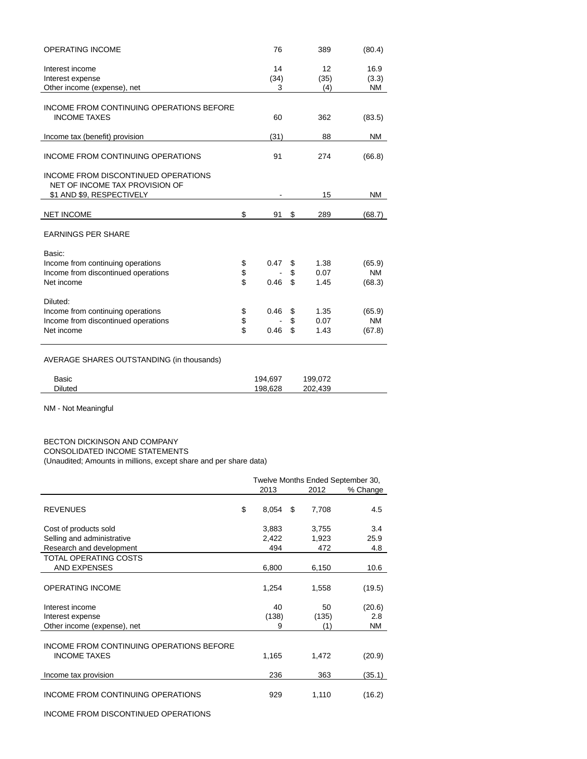| <b>OPERATING INCOME</b>                                                                            |                | 76              |                | 389                  | (80.4)                        |
|----------------------------------------------------------------------------------------------------|----------------|-----------------|----------------|----------------------|-------------------------------|
| Interest income<br>Interest expense<br>Other income (expense), net                                 |                | 14<br>(34)<br>3 |                | 12<br>(35)<br>(4)    | 16.9<br>(3.3)<br>NM           |
| INCOME FROM CONTINUING OPERATIONS BEFORE<br><b>INCOME TAXES</b>                                    |                | 60              |                | 362                  | (83.5)                        |
| Income tax (benefit) provision                                                                     |                | (31)            |                | 88                   | NM                            |
| INCOME FROM CONTINUING OPERATIONS                                                                  |                | 91              |                | 274                  | (66.8)                        |
| INCOME FROM DISCONTINUED OPERATIONS<br>NET OF INCOME TAX PROVISION OF<br>\$1 AND \$9, RESPECTIVELY |                |                 |                | 15                   | <b>NM</b>                     |
| <b>NET INCOME</b>                                                                                  | \$             | 91              | \$             | 289                  | (68.7)                        |
| <b>EARNINGS PER SHARE</b>                                                                          |                |                 |                |                      |                               |
| Basic:<br>Income from continuing operations<br>Income from discontinued operations<br>Net income   | \$<br>\$<br>\$ | 0.47<br>0.46    | \$<br>\$<br>\$ | 1.38<br>0.07<br>1.45 | (65.9)<br><b>NM</b><br>(68.3) |
| Diluted:<br>Income from continuing operations<br>Income from discontinued operations<br>Net income | \$<br>\$<br>\$ | 0.46<br>0.46    | \$<br>\$<br>\$ | 1.35<br>0.07<br>1.43 | (65.9)<br><b>NM</b><br>(67.8) |

AVERAGE SHARES OUTSTANDING (in thousands)

| Basic          | 194.697 | 199,072 |  |
|----------------|---------|---------|--|
| <b>Diluted</b> | 198.628 | 202.439 |  |

NM - Not Meaningful

# BECTON DICKINSON AND COMPANY

CONSOLIDATED INCOME STATEMENTS

(Unaudited; Amounts in millions, except share and per share data)

|                                          |             |             | Twelve Months Ended September 30, |
|------------------------------------------|-------------|-------------|-----------------------------------|
|                                          | 2013        | 2012        | % Change                          |
|                                          |             |             |                                   |
| <b>REVENUES</b>                          | \$<br>8,054 | \$<br>7,708 | 4.5                               |
|                                          |             |             |                                   |
| Cost of products sold                    | 3,883       | 3,755       | 3.4                               |
| Selling and administrative               | 2,422       | 1,923       | 25.9                              |
| Research and development                 | 494         | 472         | 4.8                               |
| <b>TOTAL OPERATING COSTS</b>             |             |             |                                   |
| <b>AND EXPENSES</b>                      | 6,800       | 6,150       | 10.6                              |
|                                          |             |             |                                   |
| <b>OPERATING INCOME</b>                  | 1,254       | 1,558       | (19.5)                            |
|                                          |             |             |                                   |
| Interest income                          | 40          | 50          | (20.6)                            |
| Interest expense                         | (138)       | (135)       | 2.8                               |
| Other income (expense), net              | 9           | (1)         | ΝM                                |
|                                          |             |             |                                   |
| INCOME FROM CONTINUING OPERATIONS BEFORE |             |             |                                   |
| <b>INCOME TAXES</b>                      | 1,165       | 1,472       | (20.9)                            |
|                                          |             |             |                                   |
| Income tax provision                     | 236         | 363         | (35.1)                            |
|                                          |             |             |                                   |
| INCOME FROM CONTINUING OPERATIONS        | 929         | 1,110       | (16.2)                            |
|                                          |             |             |                                   |

INCOME FROM DISCONTINUED OPERATIONS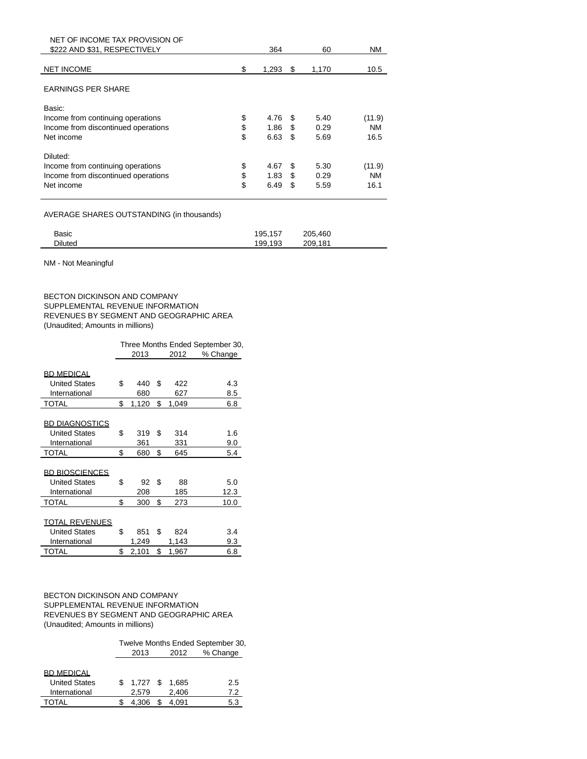| NET OF INCOME TAX PROVISION OF<br>\$222 AND \$31, RESPECTIVELY                                     |                | 364                  |               | 60                   | ΝM                   |
|----------------------------------------------------------------------------------------------------|----------------|----------------------|---------------|----------------------|----------------------|
| <b>NET INCOME</b>                                                                                  | \$             | 1,293                | - \$          | 1,170                | 10.5                 |
| <b>EARNINGS PER SHARE</b>                                                                          |                |                      |               |                      |                      |
| Basic:<br>Income from continuing operations<br>Income from discontinued operations<br>Net income   | \$<br>\$<br>\$ | 4.76<br>1.86<br>6.63 | -S<br>S<br>\$ | 5.40<br>0.29<br>5.69 | (11.9)<br>NM<br>16.5 |
| Diluted:<br>Income from continuing operations<br>Income from discontinued operations<br>Net income | \$<br>\$<br>\$ | 4.67<br>1.83<br>6.49 | S<br>-S<br>\$ | 5.30<br>0.29<br>5.59 | (11.9)<br>NM<br>16.1 |

AVERAGE SHARES OUTSTANDING (in thousands)

| Basic   | 195,157 | 205,460 |
|---------|---------|---------|
| Diluted | 199.193 | 209.181 |

NM - Not Meaningful

 $\mathbf{r}$ 

### BECTON DICKINSON AND COMPANY SUPPLEMENTAL REVENUE INFORMATION REVENUES BY SEGMENT AND GEOGRAPHIC AREA (Unaudited; Amounts in millions)

|                       | Three Months Ended September 30, |       |    |       |          |  |  |  |
|-----------------------|----------------------------------|-------|----|-------|----------|--|--|--|
|                       |                                  | 2013  |    | 2012  | % Change |  |  |  |
|                       |                                  |       |    |       |          |  |  |  |
| <b>BD MEDICAL</b>     |                                  |       |    |       |          |  |  |  |
| <b>United States</b>  | \$                               | 440   | \$ | 422   | 4.3      |  |  |  |
| International         |                                  | 680   |    | 627   | 8.5      |  |  |  |
| TOTAL                 | \$                               | 1,120 | \$ | 1,049 | 6.8      |  |  |  |
|                       |                                  |       |    |       |          |  |  |  |
| <b>BD DIAGNOSTICS</b> |                                  |       |    |       |          |  |  |  |
| <b>United States</b>  | \$                               | 319   | \$ | 314   | 1.6      |  |  |  |
| International         |                                  | 361   |    | 331   | 9.0      |  |  |  |
| <b>TOTAL</b>          | \$                               | 680   | \$ | 645   | 5.4      |  |  |  |
|                       |                                  |       |    |       |          |  |  |  |
| <b>BD BIOSCIENCES</b> |                                  |       |    |       |          |  |  |  |
| <b>United States</b>  | \$                               | 92    | \$ | 88    | 5.0      |  |  |  |
| International         |                                  | 208   |    | 185   | 12.3     |  |  |  |
| <b>TOTAL</b>          | \$                               | 300   | \$ | 273   | 10.0     |  |  |  |
|                       |                                  |       |    |       |          |  |  |  |
| TOTAL REVENUES        |                                  |       |    |       |          |  |  |  |
| <b>United States</b>  | \$                               | 851   | \$ | 824   | 3.4      |  |  |  |
| International         |                                  | 1,249 |    | 1,143 | 9.3      |  |  |  |
| <b>TOTAL</b>          | \$                               | 2,101 | \$ | 1,967 | 6.8      |  |  |  |

### BECTON DICKINSON AND COMPANY SUPPLEMENTAL REVENUE INFORMATION REVENUES BY SEGMENT AND GEOGRAPHIC AREA (Unaudited; Amounts in millions)

|                                                            | Twelve Months Ended September 30, |  |                |            |  |  |  |  |  |  |
|------------------------------------------------------------|-----------------------------------|--|----------------|------------|--|--|--|--|--|--|
|                                                            | 2013                              |  | % Change       |            |  |  |  |  |  |  |
| <b>BD MEDICAL</b><br><b>United States</b><br>International | $1.727$ \$<br>2.579               |  | 1.685<br>2,406 | 2.5<br>7.2 |  |  |  |  |  |  |
| TOTAL                                                      | 4.306                             |  | 4.091          | 5.3        |  |  |  |  |  |  |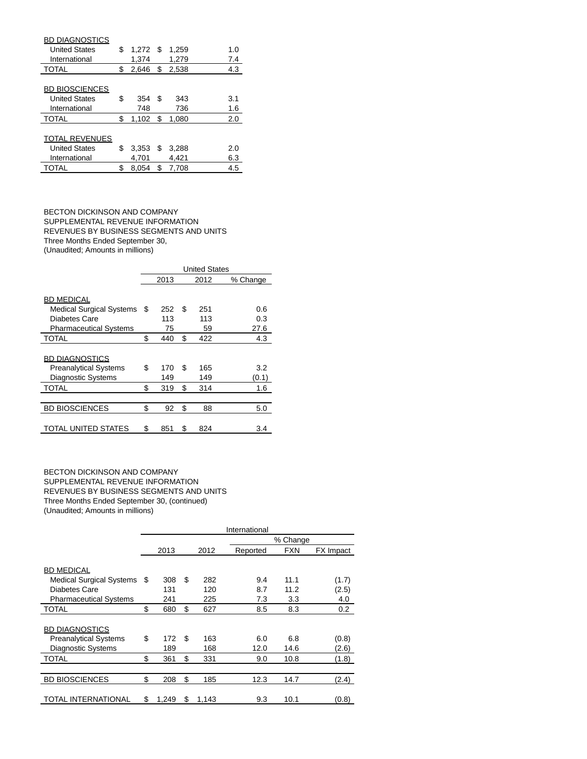| <b>BD DIAGNOSTICS</b> |     |       |      |       |     |
|-----------------------|-----|-------|------|-------|-----|
| <b>United States</b>  | \$  | 1,272 | - \$ | 1,259 | 1.0 |
| International         |     | 1.374 |      | 1,279 | 7.4 |
| <b>TOTAL</b>          | S   | 2.646 | \$   | 2.538 | 4.3 |
|                       |     |       |      |       |     |
| <b>BD BIOSCIENCES</b> |     |       |      |       |     |
| <b>United States</b>  | \$. | 354   | \$   | 343   | 3.1 |
| International         |     | 748   |      | 736   | 1.6 |
| <b>TOTAL</b>          | \$  | 1.102 | \$   | 1.080 | 2.0 |
|                       |     |       |      |       |     |
| <b>TOTAL REVENUES</b> |     |       |      |       |     |
| <b>United States</b>  | S   | 3,353 | S    | 3,288 | 2.0 |
| International         |     | 4.701 |      | 4,421 | 6.3 |
| <b>TOTAL</b>          | S   | 8.054 | \$   | 7.708 | 4.5 |

## BECTON DICKINSON AND COMPANY SUPPLEMENTAL REVENUE INFORMATION REVENUES BY BUSINESS SEGMENTS AND UNITS Three Months Ended September 30, (Unaudited; Amounts in millions)

|                                 | <b>United States</b> |      |    |      |          |  |  |  |  |
|---------------------------------|----------------------|------|----|------|----------|--|--|--|--|
|                                 |                      | 2013 |    | 2012 | % Change |  |  |  |  |
|                                 |                      |      |    |      |          |  |  |  |  |
| <b>BD MEDICAL</b>               |                      |      |    |      |          |  |  |  |  |
| <b>Medical Surgical Systems</b> | S                    | 252  | \$ | 251  | 0.6      |  |  |  |  |
| Diabetes Care                   |                      | 113  |    | 113  | 0.3      |  |  |  |  |
| <b>Pharmaceutical Systems</b>   |                      | 75   |    | 59   | 27.6     |  |  |  |  |
| <b>TOTAL</b>                    | \$                   | 440  | \$ | 422  | 4.3      |  |  |  |  |
|                                 |                      |      |    |      |          |  |  |  |  |
| <b>BD DIAGNOSTICS</b>           |                      |      |    |      |          |  |  |  |  |
| <b>Preanalytical Systems</b>    | \$                   | 170  | \$ | 165  | 3.2      |  |  |  |  |
| <b>Diagnostic Systems</b>       |                      | 149  |    | 149  | (0.1)    |  |  |  |  |
| <b>TOTAL</b>                    | \$                   | 319  | \$ | 314  | 1.6      |  |  |  |  |
|                                 |                      |      |    |      |          |  |  |  |  |
| <b>BD BIOSCIENCES</b>           | \$                   | 92   | \$ | 88   | 5.0      |  |  |  |  |
|                                 |                      |      |    |      |          |  |  |  |  |
| TOTAL UNITED STATES             | \$                   | 851  | \$ | 824  | 3.4      |  |  |  |  |

## BECTON DICKINSON AND COMPANY SUPPLEMENTAL REVENUE INFORMATION REVENUES BY BUSINESS SEGMENTS AND UNITS Three Months Ended September 30, (continued) (Unaudited; Amounts in millions)

|                                 | International |       |    |          |          |            |                  |  |  |
|---------------------------------|---------------|-------|----|----------|----------|------------|------------------|--|--|
|                                 |               |       |    | % Change |          |            |                  |  |  |
|                                 |               | 2013  |    | 2012     | Reported | <b>FXN</b> | <b>FX</b> Impact |  |  |
|                                 |               |       |    |          |          |            |                  |  |  |
| <b>BD MEDICAL</b>               |               |       |    |          |          |            |                  |  |  |
| <b>Medical Surgical Systems</b> | \$.           | 308   | \$ | 282      | 9.4      | 11.1       | (1.7)            |  |  |
| Diabetes Care                   |               | 131   |    | 120      | 8.7      | 11.2       | (2.5)            |  |  |
| <b>Pharmaceutical Systems</b>   |               | 241   |    | 225      | 7.3      | 3.3        | 4.0              |  |  |
| TOTAL                           | \$            | 680   | \$ | 627      | 8.5      | 8.3        | 0.2 <sub>0</sub> |  |  |
|                                 |               |       |    |          |          |            |                  |  |  |
| <b>BD DIAGNOSTICS</b>           |               |       |    |          |          |            |                  |  |  |
| <b>Preanalytical Systems</b>    | \$            | 172   | \$ | 163      | 6.0      | 6.8        | (0.8)            |  |  |
| Diagnostic Systems              |               | 189   |    | 168      | 12.0     | 14.6       | (2.6)            |  |  |
| TOTAL                           | \$            | 361   | \$ | 331      | 9.0      | 10.8       | (1.8)            |  |  |
|                                 |               |       |    |          |          |            |                  |  |  |
| <b>BD BIOSCIENCES</b>           | \$            | 208   | \$ | 185      | 12.3     | 14.7       | (2.4)            |  |  |
|                                 |               |       |    |          |          |            |                  |  |  |
| TOTAL INTERNATIONAL             | S             | 1,249 | S  | 1,143    | 9.3      | 10.1       | (0.8)            |  |  |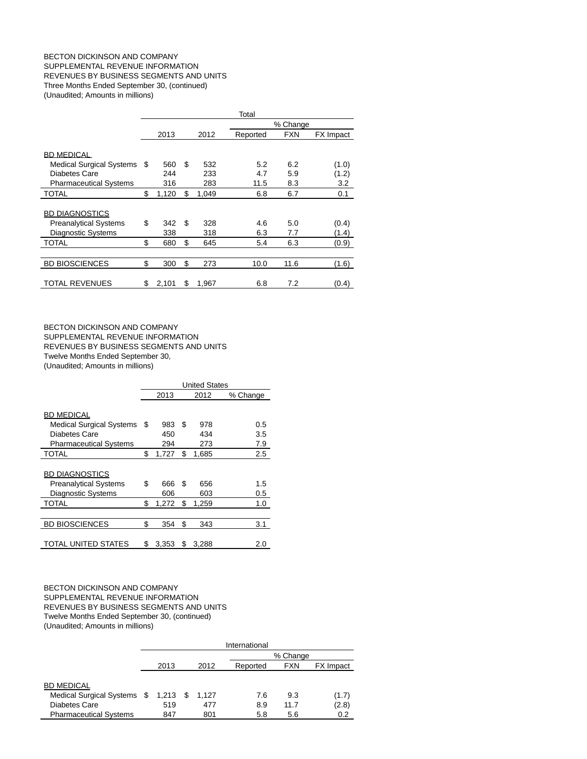### BECTON DICKINSON AND COMPANY SUPPLEMENTAL REVENUE INFORMATION REVENUES BY BUSINESS SEGMENTS AND UNITS Three Months Ended September 30, (continued) (Unaudited; Amounts in millions)

|                                 | Total |       |    |       |          |            |           |  |  |
|---------------------------------|-------|-------|----|-------|----------|------------|-----------|--|--|
|                                 |       |       |    |       |          | % Change   |           |  |  |
|                                 |       | 2013  |    | 2012  | Reported | <b>FXN</b> | FX Impact |  |  |
|                                 |       |       |    |       |          |            |           |  |  |
| <b>BD MEDICAL</b>               |       |       |    |       |          |            |           |  |  |
| <b>Medical Surgical Systems</b> | \$.   | 560   | \$ | 532   | 5.2      | 6.2        | (1.0)     |  |  |
| Diabetes Care                   |       | 244   |    | 233   | 4.7      | 5.9        | (1.2)     |  |  |
| <b>Pharmaceutical Systems</b>   |       | 316   |    | 283   | 11.5     | 8.3        | 3.2       |  |  |
| <b>TOTAL</b>                    | \$    | 1,120 | \$ | 1.049 | 6.8      | 6.7        | 0.1       |  |  |
|                                 |       |       |    |       |          |            |           |  |  |
| <b>BD DIAGNOSTICS</b>           |       |       |    |       |          |            |           |  |  |
| <b>Preanalytical Systems</b>    | \$    | 342   | \$ | 328   | 4.6      | 5.0        | (0.4)     |  |  |
| <b>Diagnostic Systems</b>       |       | 338   |    | 318   | 6.3      | 7.7        | (1.4)     |  |  |
| TOTAL                           | \$    | 680   | \$ | 645   | 5.4      | 6.3        | (0.9)     |  |  |
|                                 |       |       |    |       |          |            |           |  |  |
| <b>BD BIOSCIENCES</b>           | \$    | 300   | \$ | 273   | 10.0     | 11.6       | (1.6)     |  |  |
|                                 |       |       |    |       |          |            |           |  |  |
| TOTAL REVENUES                  | \$    | 2,101 | \$ | 1.967 | 6.8      | 7.2        | (0.4)     |  |  |

### BECTON DICKINSON AND COMPANY SUPPLEMENTAL REVENUE INFORMATION REVENUES BY BUSINESS SEGMENTS AND UNITS Twelve Months Ended September 30, (Unaudited; Amounts in millions)

|                                 |    |       | <b>United States</b> |          |
|---------------------------------|----|-------|----------------------|----------|
|                                 |    | 2013  | 2012                 | % Change |
|                                 |    |       |                      |          |
| <b>BD MEDICAL</b>               |    |       |                      |          |
| <b>Medical Surgical Systems</b> | S  | 983   | \$<br>978            | 0.5      |
| Diabetes Care                   |    | 450   | 434                  | 3.5      |
| <b>Pharmaceutical Systems</b>   |    | 294   | 273                  | 7.9      |
| <b>TOTAL</b>                    | \$ | 1,727 | \$<br>1,685          | 2.5      |
|                                 |    |       |                      |          |
| <b>BD DIAGNOSTICS</b>           |    |       |                      |          |
| <b>Preanalytical Systems</b>    | \$ | 666   | \$<br>656            | 1.5      |
| <b>Diagnostic Systems</b>       |    | 606   | 603                  | 0.5      |
| <b>TOTAL</b>                    | \$ | 1.272 | \$<br>1.259          | 1.0      |
|                                 |    |       |                      |          |
| <b>BD BIOSCIENCES</b>           | \$ | 354   | \$<br>343            | 3.1      |
|                                 |    |       |                      |          |
| TOTAL UNITED STATES             | \$ | 3,353 | \$<br>3,288          | 2.0      |

# BECTON DICKINSON AND COMPANY

SUPPLEMENTAL REVENUE INFORMATION REVENUES BY BUSINESS SEGMENTS AND UNITS Twelve Months Ended September 30, (continued) (Unaudited; Amounts in millions)

|                                      |      |       | International |            |           |  |  |  |  |
|--------------------------------------|------|-------|---------------|------------|-----------|--|--|--|--|
|                                      |      |       |               | % Change   |           |  |  |  |  |
|                                      | 2013 | 2012  | Reported      | <b>FXN</b> | FX Impact |  |  |  |  |
|                                      |      |       |               |            |           |  |  |  |  |
| <b>BD MEDICAL</b>                    |      |       |               |            |           |  |  |  |  |
| Medical Surgical Systems \$ 1,213 \$ |      | 1.127 | 7.6           | 9.3        | (1.7)     |  |  |  |  |
| Diabetes Care                        | 519  | 477   | 8.9           | 11.7       | (2.8)     |  |  |  |  |
| <b>Pharmaceutical Systems</b>        | 847  | 801   | 5.8           | 5.6        | 0.2       |  |  |  |  |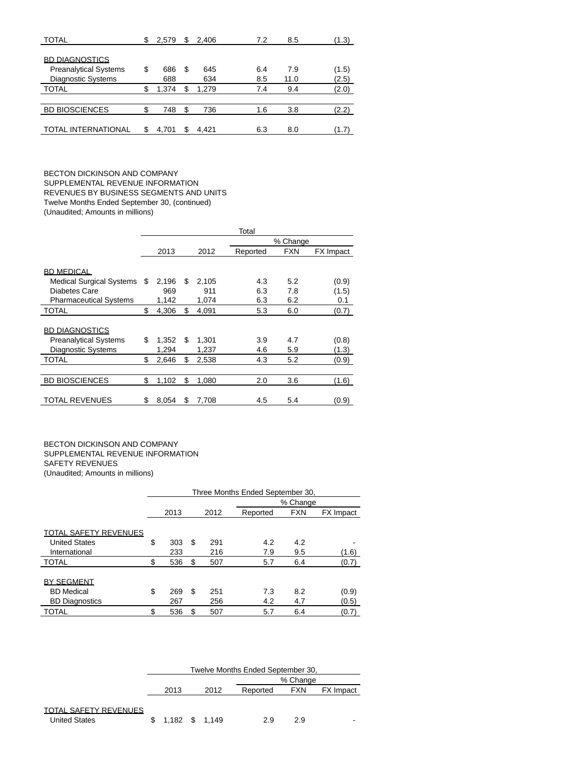| <b>TOTAL</b>                 | S | 2.579 | \$ | 2.406 | 7.2 | 8.5  | (1.3) |
|------------------------------|---|-------|----|-------|-----|------|-------|
|                              |   |       |    |       |     |      |       |
| <b>BD DIAGNOSTICS</b>        |   |       |    |       |     |      |       |
| <b>Preanalytical Systems</b> | S | 686   | S  | 645   | 6.4 | 7.9  | (1.5) |
| <b>Diagnostic Systems</b>    |   | 688   |    | 634   | 8.5 | 11.0 | (2.5) |
| <b>TOTAL</b>                 |   | 1.374 | S  | 1.279 | 7.4 | 9.4  | (2.0) |
|                              |   |       |    |       |     |      |       |
| <b>BD BIOSCIENCES</b>        |   | 748   | \$ | 736   | 1.6 | 3.8  | (2.2) |
|                              |   |       |    |       |     |      |       |
| <b>TOTAL INTERNATIONAL</b>   |   | 4.701 |    | 4.421 | 6.3 | 8.0  | (1.7) |

BECTON DICKINSON AND COMPANY SUPPLEMENTAL REVENUE INFORMATION REVENUES BY BUSINESS SEGMENTS AND UNITS Twelve Months Ended September 30, (continued) (Unaudited; Amounts in millions)

|                                 | Total |       |    |       |          |            |           |  |  |  |  |  |
|---------------------------------|-------|-------|----|-------|----------|------------|-----------|--|--|--|--|--|
|                                 |       |       |    |       |          | % Change   |           |  |  |  |  |  |
|                                 |       | 2013  |    | 2012  | Reported | <b>FXN</b> | FX Impact |  |  |  |  |  |
|                                 |       |       |    |       |          |            |           |  |  |  |  |  |
| <b>BD MEDICAL</b>               |       |       |    |       |          |            |           |  |  |  |  |  |
| <b>Medical Surgical Systems</b> | S     | 2,196 | \$ | 2.105 | 4.3      | 5.2        | (0.9)     |  |  |  |  |  |
| Diabetes Care                   |       | 969   |    | 911   | 6.3      | 7.8        | (1.5)     |  |  |  |  |  |
| <b>Pharmaceutical Systems</b>   |       | 1,142 |    | 1,074 | 6.3      | 6.2        | 0.1       |  |  |  |  |  |
| TOTAL                           | \$    | 4,306 | \$ | 4,091 | 5.3      | 6.0        | (0.7)     |  |  |  |  |  |
|                                 |       |       |    |       |          |            |           |  |  |  |  |  |
| <b>BD DIAGNOSTICS</b>           |       |       |    |       |          |            |           |  |  |  |  |  |
| <b>Preanalytical Systems</b>    | \$    | 1,352 | \$ | 1,301 | 3.9      | 4.7        | (0.8)     |  |  |  |  |  |
| <b>Diagnostic Systems</b>       |       | 1,294 |    | 1,237 | 4.6      | 5.9        | (1.3)     |  |  |  |  |  |
| TOTAL                           | \$    | 2,646 | \$ | 2,538 | 4.3      | 5.2        | (0.9)     |  |  |  |  |  |
|                                 |       |       |    |       |          |            |           |  |  |  |  |  |
| <b>BD BIOSCIENCES</b>           | \$    | 1,102 | \$ | 1,080 | 2.0      | 3.6        | (1.6)     |  |  |  |  |  |
|                                 |       |       |    |       |          |            |           |  |  |  |  |  |
| <b>TOTAL REVENUES</b>           | \$    | 8,054 | \$ | 7.708 | 4.5      | 5.4        | (0.9)     |  |  |  |  |  |

### BECTON DICKINSON AND COMPANY SUPPLEMENTAL REVENUE INFORMATION SAFETY REVENUES (Unaudited; Amounts in millions)

|                              | Three Months Ended September 30, |      |     |      |          |            |           |  |  |  |  |  |  |
|------------------------------|----------------------------------|------|-----|------|----------|------------|-----------|--|--|--|--|--|--|
|                              |                                  |      |     |      |          | % Change   |           |  |  |  |  |  |  |
|                              |                                  | 2013 |     | 2012 | Reported | <b>FXN</b> | FX Impact |  |  |  |  |  |  |
|                              |                                  |      |     |      |          |            |           |  |  |  |  |  |  |
| <b>TOTAL SAFETY REVENUES</b> |                                  |      |     |      |          |            |           |  |  |  |  |  |  |
| <b>United States</b>         | \$                               | 303  | \$. | 291  | 4.2      | 4.2        |           |  |  |  |  |  |  |
| International                |                                  | 233  |     | 216  | 7.9      | 9.5        | (1.6)     |  |  |  |  |  |  |
| <b>TOTAL</b>                 | \$                               | 536  | S   | 507  | 5.7      | 6.4        | (0.7)     |  |  |  |  |  |  |
|                              |                                  |      |     |      |          |            |           |  |  |  |  |  |  |
| <b>BY SEGMENT</b>            |                                  |      |     |      |          |            |           |  |  |  |  |  |  |
| <b>BD</b> Medical            | \$                               | 269  | S   | 251  | 7.3      | 8.2        | (0.9)     |  |  |  |  |  |  |
| <b>BD Diagnostics</b>        |                                  | 267  |     | 256  | 4.2      | 4.7        | (0.5)     |  |  |  |  |  |  |
| <b>TOTAL</b>                 | \$                               | 536  | S   | 507  | 5.7      | 6.4        | (0.7)     |  |  |  |  |  |  |

|                              | Twelve Months Ended September 30, |  |      |          |            |           |  |  |  |  |  |  |
|------------------------------|-----------------------------------|--|------|----------|------------|-----------|--|--|--|--|--|--|
|                              |                                   |  |      | % Change |            |           |  |  |  |  |  |  |
|                              | 2013                              |  | 2012 | Reported | <b>FXN</b> | FX Impact |  |  |  |  |  |  |
|                              |                                   |  |      |          |            |           |  |  |  |  |  |  |
| <b>TOTAL SAFETY REVENUES</b> |                                   |  |      |          |            |           |  |  |  |  |  |  |
| <b>United States</b>         | 1.182 \$ 1.149                    |  |      | 2.9      | 2.9        | -         |  |  |  |  |  |  |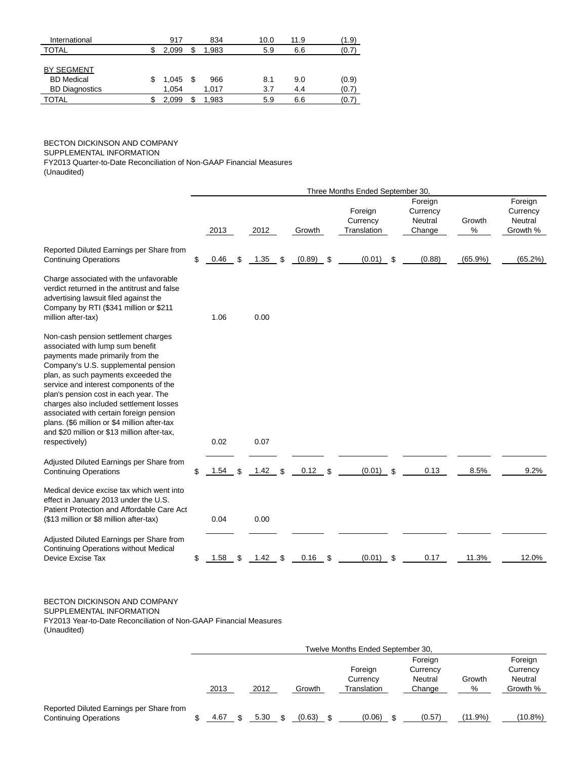| International         | 917   | 834   | 10.0 | 11.9 | (1.9) |
|-----------------------|-------|-------|------|------|-------|
| TOTAL                 | 2.099 | .983  | 5.9  | 6.6  | 0.7   |
|                       |       |       |      |      |       |
| <b>BY SEGMENT</b>     |       |       |      |      |       |
| <b>BD</b> Medical     | 1.045 | 966   | 8.1  | 9.0  | (0.9) |
| <b>BD Diagnostics</b> | 1.054 | 1.017 | 3.7  | 4.4  | (0.7) |
| TOTAL                 | 2.099 | 1,983 | 5.9  | 6.6  | (0.7  |

## BECTON DICKINSON AND COMPANY

SUPPLEMENTAL INFORMATION

FY2013 Quarter-to-Date Reconciliation of Non-GAAP Financial Measures

(Unaudited)

|                                                                                                                                                                                                                                                                                                                                                                                                                                                                                    |            |      |      |              | Three Months Ended September 30,   |          |                                          |                |                                            |
|------------------------------------------------------------------------------------------------------------------------------------------------------------------------------------------------------------------------------------------------------------------------------------------------------------------------------------------------------------------------------------------------------------------------------------------------------------------------------------|------------|------|------|--------------|------------------------------------|----------|------------------------------------------|----------------|--------------------------------------------|
|                                                                                                                                                                                                                                                                                                                                                                                                                                                                                    | 2013       |      | 2012 | Growth       | Foreign<br>Currency<br>Translation |          | Foreign<br>Currency<br>Neutral<br>Change | Growth<br>$\%$ | Foreign<br>Currency<br>Neutral<br>Growth % |
| Reported Diluted Earnings per Share from<br><b>Continuing Operations</b>                                                                                                                                                                                                                                                                                                                                                                                                           | \$<br>0.46 | - \$ | 1.35 | \$<br>(0.89) | \$<br>(0.01)                       | <b>S</b> | (0.88)                                   | $(65.9\%)$     | (65.2%)                                    |
| Charge associated with the unfavorable<br>verdict returned in the antitrust and false<br>advertising lawsuit filed against the<br>Company by RTI (\$341 million or \$211<br>million after-tax)                                                                                                                                                                                                                                                                                     | 1.06       |      | 0.00 |              |                                    |          |                                          |                |                                            |
| Non-cash pension settlement charges<br>associated with lump sum benefit<br>payments made primarily from the<br>Company's U.S. supplemental pension<br>plan, as such payments exceeded the<br>service and interest components of the<br>plan's pension cost in each year. The<br>charges also included settlement losses<br>associated with certain foreign pension<br>plans. (\$6 million or \$4 million after-tax<br>and \$20 million or \$13 million after-tax,<br>respectively) | 0.02       |      | 0.07 |              |                                    |          |                                          |                |                                            |
| Adjusted Diluted Earnings per Share from<br><b>Continuing Operations</b>                                                                                                                                                                                                                                                                                                                                                                                                           | \$<br>1.54 | \$   | 1.42 | \$<br>0.12   | \$<br>$(0.01)$ \$                  |          | 0.13                                     | 8.5%           | 9.2%                                       |
| Medical device excise tax which went into<br>effect in January 2013 under the U.S.<br>Patient Protection and Affordable Care Act<br>(\$13 million or \$8 million after-tax)                                                                                                                                                                                                                                                                                                        | 0.04       |      | 0.00 |              |                                    |          |                                          |                |                                            |
| Adjusted Diluted Earnings per Share from<br>Continuing Operations without Medical<br>Device Excise Tax                                                                                                                                                                                                                                                                                                                                                                             | \$<br>1.58 | S    | 1.42 | \$<br>0.16   | \$<br>$(0.01)$ \$                  |          | 0.17                                     | 11.3%          | 12.0%                                      |

# BECTON DICKINSON AND COMPANY SUPPLEMENTAL INFORMATION

FY2013 Year-to-Date Reconciliation of Non-GAAP Financial Measures

(Unaudited)

|                                                                          | Twelve Months Ended September 30, |      |  |      |  |        |  |                                    |             |                                            |         |         |
|--------------------------------------------------------------------------|-----------------------------------|------|--|------|--|--------|--|------------------------------------|-------------|--------------------------------------------|---------|---------|
|                                                                          |                                   | 2013 |  | 2012 |  | Growth |  | Foreign<br>Currency<br>Translation | Growth<br>% | Foreign<br>Currency<br>Neutral<br>Growth % |         |         |
| Reported Diluted Earnings per Share from<br><b>Continuing Operations</b> |                                   | 4.67 |  | 5.30 |  | (0.63) |  | (0.06)                             |             | (0.57)                                     | (11.9%) | (10.8%) |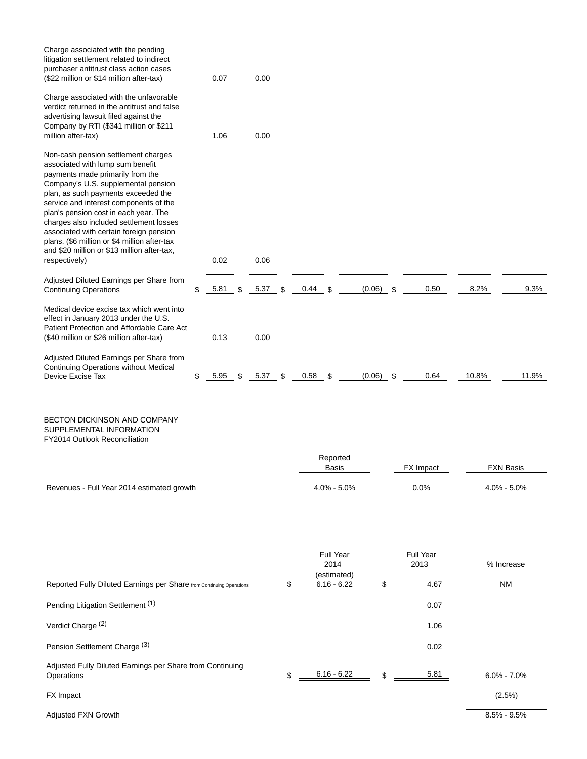| Charge associated with the pending<br>litigation settlement related to indirect<br>purchaser antitrust class action cases<br>(\$22 million or \$14 million after-tax)                                                                                                                                                                                                                                                                                                              | 0.07       |              | 0.00 |            |                   |                              |        |            |                   |       |                  |
|------------------------------------------------------------------------------------------------------------------------------------------------------------------------------------------------------------------------------------------------------------------------------------------------------------------------------------------------------------------------------------------------------------------------------------------------------------------------------------|------------|--------------|------|------------|-------------------|------------------------------|--------|------------|-------------------|-------|------------------|
| Charge associated with the unfavorable<br>verdict returned in the antitrust and false<br>advertising lawsuit filed against the<br>Company by RTI (\$341 million or \$211<br>million after-tax)                                                                                                                                                                                                                                                                                     | 1.06       |              | 0.00 |            |                   |                              |        |            |                   |       |                  |
| Non-cash pension settlement charges<br>associated with lump sum benefit<br>payments made primarily from the<br>Company's U.S. supplemental pension<br>plan, as such payments exceeded the<br>service and interest components of the<br>plan's pension cost in each year. The<br>charges also included settlement losses<br>associated with certain foreign pension<br>plans. (\$6 million or \$4 million after-tax<br>and \$20 million or \$13 million after-tax,<br>respectively) | 0.02       |              | 0.06 |            |                   |                              |        |            |                   |       |                  |
| Adjusted Diluted Earnings per Share from<br><b>Continuing Operations</b>                                                                                                                                                                                                                                                                                                                                                                                                           | \$<br>5.81 | \$           | 5.37 | \$<br>0.44 | \$                |                              | (0.06) | \$         | 0.50              | 8.2%  | 9.3%             |
| Medical device excise tax which went into<br>effect in January 2013 under the U.S.<br>Patient Protection and Affordable Care Act<br>(\$40 million or \$26 million after-tax)                                                                                                                                                                                                                                                                                                       | 0.13       |              | 0.00 |            |                   |                              |        |            |                   |       |                  |
| Adjusted Diluted Earnings per Share from<br><b>Continuing Operations without Medical</b><br>Device Excise Tax                                                                                                                                                                                                                                                                                                                                                                      | \$<br>5.95 | $\mathsf{S}$ | 5.37 | \$<br>0.58 | \$                |                              | (0.06) | $^{\circ}$ | 0.64              | 10.8% | 11.9%            |
| <b>BECTON DICKINSON AND COMPANY</b><br>SUPPLEMENTAL INFORMATION<br>FY2014 Outlook Reconciliation                                                                                                                                                                                                                                                                                                                                                                                   |            |              |      |            |                   |                              |        |            |                   |       |                  |
|                                                                                                                                                                                                                                                                                                                                                                                                                                                                                    |            |              |      |            | Reported<br>Basis |                              |        |            | FX Impact         |       | <b>FXN Basis</b> |
| Revenues - Full Year 2014 estimated growth                                                                                                                                                                                                                                                                                                                                                                                                                                         |            |              |      |            |                   | $4.0\% - 5.0\%$              |        |            | 0.0%              |       | 4.0% - 5.0%      |
|                                                                                                                                                                                                                                                                                                                                                                                                                                                                                    |            |              |      |            | Full Year<br>2014 |                              |        |            | Full Year<br>2013 |       | % Increase       |
| Reported Fully Diluted Earnings per Share from Continuing Operations                                                                                                                                                                                                                                                                                                                                                                                                               |            |              |      | \$         |                   | (estimated)<br>$6.16 - 6.22$ | \$     |            | 4.67              |       | <b>NM</b>        |
| Pending Litigation Settlement (1)                                                                                                                                                                                                                                                                                                                                                                                                                                                  |            |              |      |            |                   |                              |        |            | 0.07              |       |                  |
| Verdict Charge (2)                                                                                                                                                                                                                                                                                                                                                                                                                                                                 |            |              |      |            |                   |                              |        |            | 1.06              |       |                  |
| Pension Settlement Charge (3)                                                                                                                                                                                                                                                                                                                                                                                                                                                      |            |              |      |            |                   |                              |        |            | 0.02              |       |                  |

Adjusted Fully Diluted Earnings per Share from Continuing

- FX Impact (2.5%)
- Adjusted FXN Growth 8.5% 9.5%

 $\frac{\$}{\$}$  6.16 - 6.22 \$ 5.81 6.0% - 7.0%